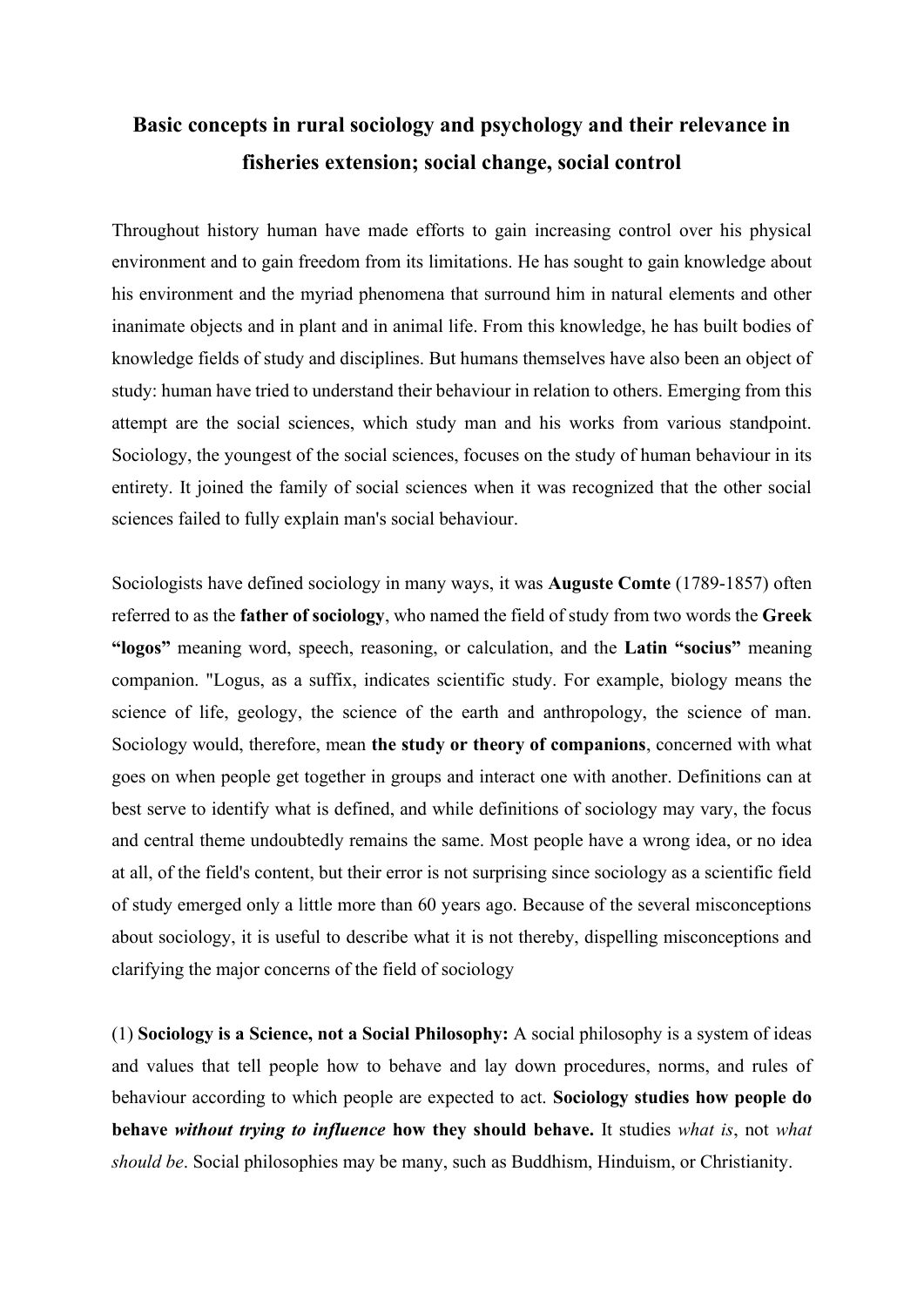# **Basic concepts in rural sociology and psychology and their relevance in fisheries extension; social change, social control**

Throughout history human have made efforts to gain increasing control over his physical environment and to gain freedom from its limitations. He has sought to gain knowledge about his environment and the myriad phenomena that surround him in natural elements and other inanimate objects and in plant and in animal life. From this knowledge, he has built bodies of knowledge fields of study and disciplines. But humans themselves have also been an object of study: human have tried to understand their behaviour in relation to others. Emerging from this attempt are the social sciences, which study man and his works from various standpoint. Sociology, the youngest of the social sciences, focuses on the study of human behaviour in its entirety. It joined the family of social sciences when it was recognized that the other social sciences failed to fully explain man's social behaviour.

Sociologists have defined sociology in many ways, it was **Auguste Comte** (1789-1857) often referred to as the **father of sociology**, who named the field of study from two words the **Greek "logos"** meaning word, speech, reasoning, or calculation, and the **Latin "socius"** meaning companion. "Logus, as a suffix, indicates scientific study. For example, biology means the science of life, geology, the science of the earth and anthropology, the science of man. Sociology would, therefore, mean **the study or theory of companions**, concerned with what goes on when people get together in groups and interact one with another. Definitions can at best serve to identify what is defined, and while definitions of sociology may vary, the focus and central theme undoubtedly remains the same. Most people have a wrong idea, or no idea at all, of the field's content, but their error is not surprising since sociology as a scientific field of study emerged only a little more than 60 years ago. Because of the several misconceptions about sociology, it is useful to describe what it is not thereby, dispelling misconceptions and clarifying the major concerns of the field of sociology

(1) **Sociology is a Science, not a Social Philosophy:** A social philosophy is a system of ideas and values that tell people how to behave and lay down procedures, norms, and rules of behaviour according to which people are expected to act. **Sociology studies how people do behave** *without trying to influence* **how they should behave.** It studies *what is*, not *what should be*. Social philosophies may be many, such as Buddhism, Hinduism, or Christianity.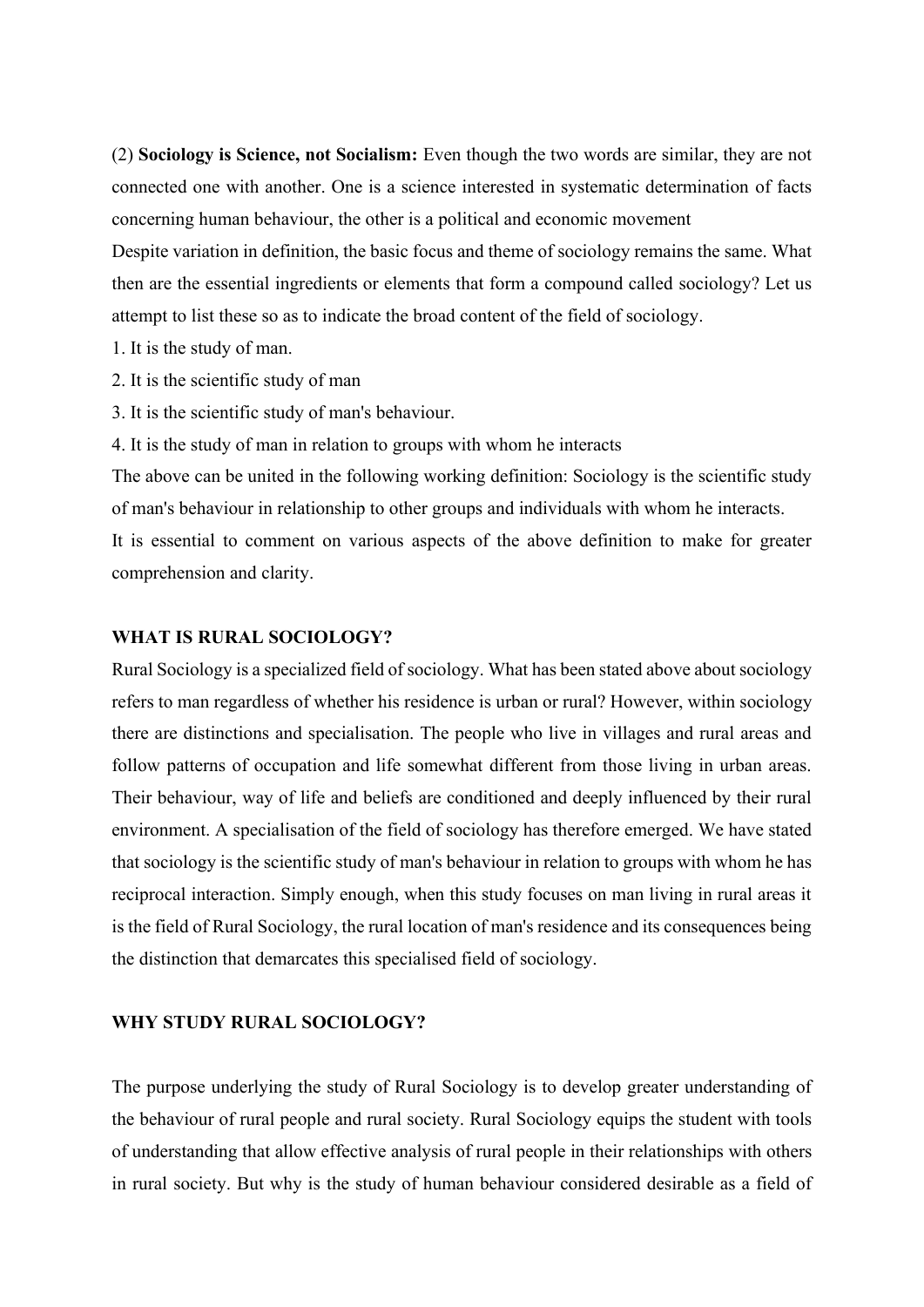(2) **Sociology is Science, not Socialism:** Even though the two words are similar, they are not connected one with another. One is a science interested in systematic determination of facts concerning human behaviour, the other is a political and economic movement

Despite variation in definition, the basic focus and theme of sociology remains the same. What then are the essential ingredients or elements that form a compound called sociology? Let us attempt to list these so as to indicate the broad content of the field of sociology.

- 1. It is the study of man.
- 2. It is the scientific study of man
- 3. It is the scientific study of man's behaviour.
- 4. It is the study of man in relation to groups with whom he interacts

The above can be united in the following working definition: Sociology is the scientific study of man's behaviour in relationship to other groups and individuals with whom he interacts. It is essential to comment on various aspects of the above definition to make for greater comprehension and clarity.

#### **WHAT IS RURAL SOCIOLOGY?**

Rural Sociology is a specialized field of sociology. What has been stated above about sociology refers to man regardless of whether his residence is urban or rural? However, within sociology there are distinctions and specialisation. The people who live in villages and rural areas and follow patterns of occupation and life somewhat different from those living in urban areas. Their behaviour, way of life and beliefs are conditioned and deeply influenced by their rural environment. A specialisation of the field of sociology has therefore emerged. We have stated that sociology is the scientific study of man's behaviour in relation to groups with whom he has reciprocal interaction. Simply enough, when this study focuses on man living in rural areas it is the field of Rural Sociology, the rural location of man's residence and its consequences being the distinction that demarcates this specialised field of sociology.

#### **WHY STUDY RURAL SOCIOLOGY?**

The purpose underlying the study of Rural Sociology is to develop greater understanding of the behaviour of rural people and rural society. Rural Sociology equips the student with tools of understanding that allow effective analysis of rural people in their relationships with others in rural society. But why is the study of human behaviour considered desirable as a field of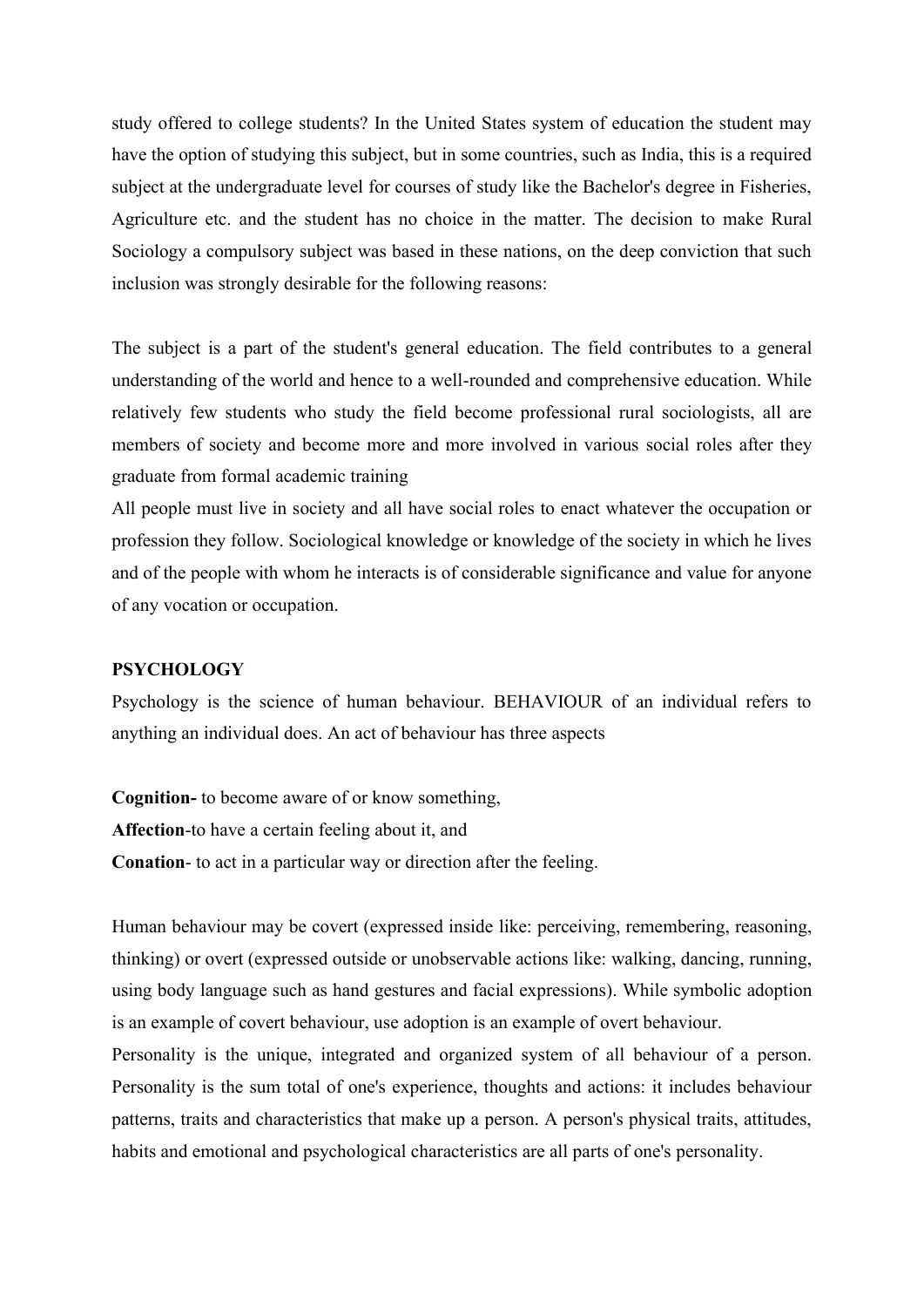study offered to college students? In the United States system of education the student may have the option of studying this subject, but in some countries, such as India, this is a required subject at the undergraduate level for courses of study like the Bachelor's degree in Fisheries, Agriculture etc. and the student has no choice in the matter. The decision to make Rural Sociology a compulsory subject was based in these nations, on the deep conviction that such inclusion was strongly desirable for the following reasons:

The subject is a part of the student's general education. The field contributes to a general understanding of the world and hence to a well-rounded and comprehensive education. While relatively few students who study the field become professional rural sociologists, all are members of society and become more and more involved in various social roles after they graduate from formal academic training

All people must live in society and all have social roles to enact whatever the occupation or profession they follow. Sociological knowledge or knowledge of the society in which he lives and of the people with whom he interacts is of considerable significance and value for anyone of any vocation or occupation.

#### **PSYCHOLOGY**

Psychology is the science of human behaviour. BEHAVIOUR of an individual refers to anything an individual does. An act of behaviour has three aspects

**Cognition-** to become aware of or know something, **Affection**-to have a certain feeling about it, and **Conation**- to act in a particular way or direction after the feeling.

Human behaviour may be covert (expressed inside like: perceiving, remembering, reasoning, thinking) or overt (expressed outside or unobservable actions like: walking, dancing, running, using body language such as hand gestures and facial expressions). While symbolic adoption is an example of covert behaviour, use adoption is an example of overt behaviour.

Personality is the unique, integrated and organized system of all behaviour of a person. Personality is the sum total of one's experience, thoughts and actions: it includes behaviour patterns, traits and characteristics that make up a person. A person's physical traits, attitudes, habits and emotional and psychological characteristics are all parts of one's personality.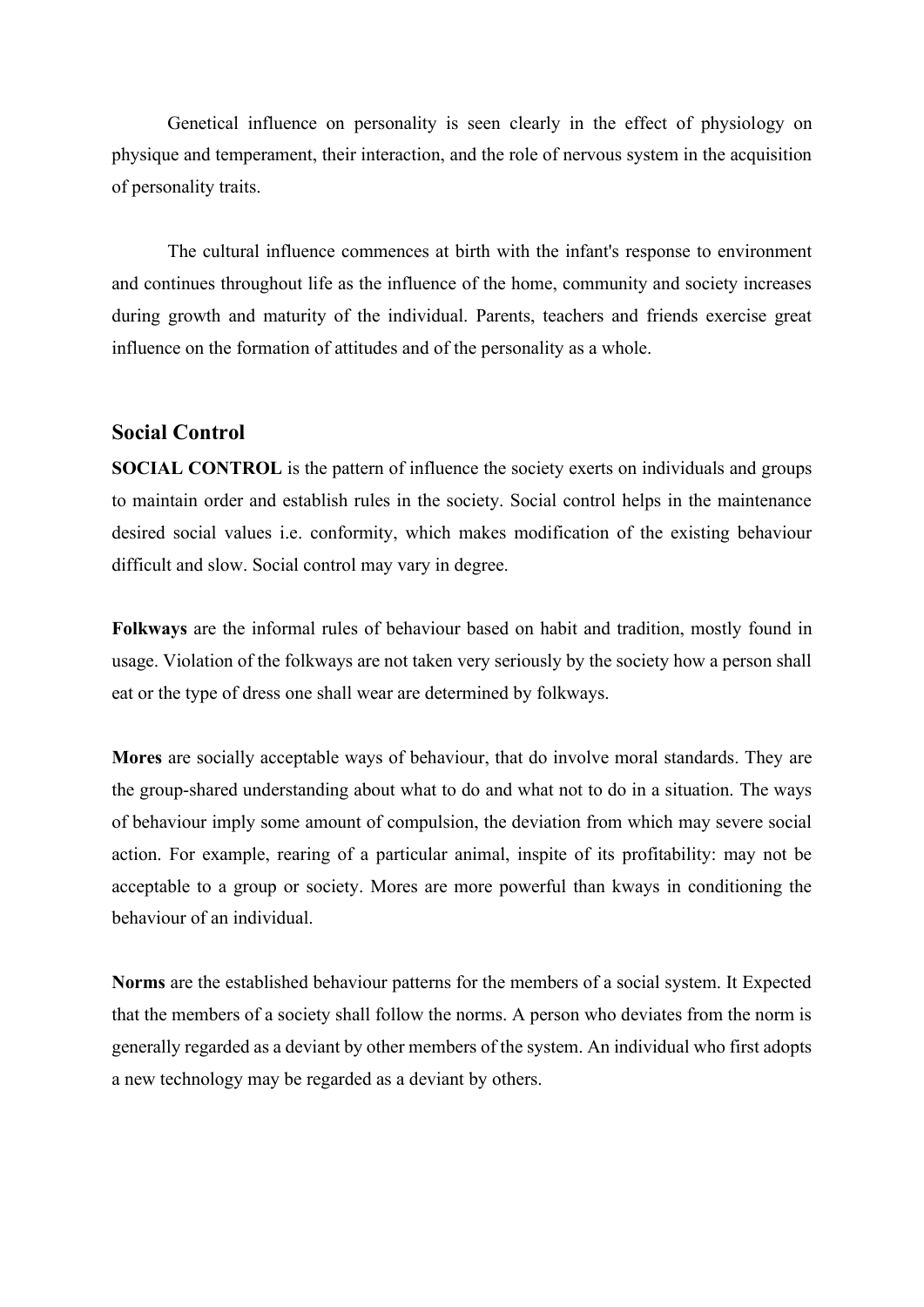Genetical influence on personality is seen clearly in the effect of physiology on physique and temperament, their interaction, and the role of nervous system in the acquisition of personality traits.

The cultural influence commences at birth with the infant's response to environment and continues throughout life as the influence of the home, community and society increases during growth and maturity of the individual. Parents, teachers and friends exercise great influence on the formation of attitudes and of the personality as a whole.

### **Social Control**

**SOCIAL CONTROL** is the pattern of influence the society exerts on individuals and groups to maintain order and establish rules in the society. Social control helps in the maintenance desired social values i.e. conformity, which makes modification of the existing behaviour difficult and slow. Social control may vary in degree.

**Folkways** are the informal rules of behaviour based on habit and tradition, mostly found in usage. Violation of the folkways are not taken very seriously by the society how a person shall eat or the type of dress one shall wear are determined by folkways.

**Mores** are socially acceptable ways of behaviour, that do involve moral standards. They are the group-shared understanding about what to do and what not to do in a situation. The ways of behaviour imply some amount of compulsion, the deviation from which may severe social action. For example, rearing of a particular animal, inspite of its profitability: may not be acceptable to a group or society. Mores are more powerful than kways in conditioning the behaviour of an individual.

**Norms** are the established behaviour patterns for the members of a social system. It Expected that the members of a society shall follow the norms. A person who deviates from the norm is generally regarded as a deviant by other members of the system. An individual who first adopts a new technology may be regarded as a deviant by others.